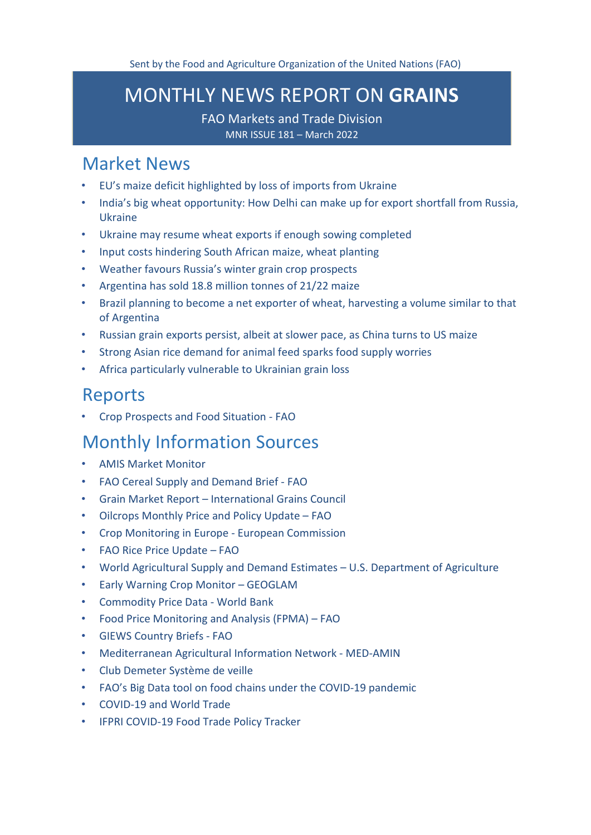# <span id="page-0-1"></span>MONTHLY NEWS REPORT ON **GRAINS**

FAO Markets and Trade Division MNR ISSUE 181 – March 2022

## [Market News](#page-0-0)

- [EU's maize deficit highlighted by loss of imports from Ukraine](#page-1-0)
- [India's big wheat opportunity: How Delhi can make up for export shortfall from Russia,](#page-1-1)  [Ukraine](#page-1-1)
- [Ukraine may resume wheat exports if enough sowing completed](#page-2-0)
- [Input costs hindering South African maize, wheat planting](#page-3-0)
- [Weather favours Russia's winter grain crop prospects](#page-4-0)
- Argentina has [sold 18.8 million tonnes of 21/22 maize](#page-4-1)
- [Brazil planning to become a net exporter of wheat, harvesting a volume similar to that](#page-5-0)  [of Argentina](#page-5-0)
- [Russian grain exports persist, albeit at slower pace, as China turns to US maize](#page-6-0)
- [Strong Asian rice demand for animal feed sparks food supply worries](#page-7-0)
- [Africa particularly vulnerable to Ukrainian grain loss](#page-8-0)

## [Reports](#page-9-0)

• [Crop Prospects and Food Situation -](#page-9-1) FAO

## [Monthly Information Sources](#page-9-2)

- [AMIS Market](http://www.amis-outlook.org/amis-monitoring#.XoMGLIgzZPY) Monitor
- [FAO Cereal Supply and Demand Brief -](http://www.fao.org/worldfoodsituation/csdb/en/) FAO
- Grain Market Report [International Grains Council](https://www.igc.int/en/gmr_summary.aspx)
- [Oilcrops Monthly Price and Policy Update –](https://www.fao.org/3/cb9089en/cb9089en.pdf) FAO
- [Crop Monitoring in Europe -](https://op.europa.eu/en/publication-detail/-/publication/5de4ec6b-abef-11ec-83e1-01aa75ed71a1/language-en) European Commission
- [FAO Rice Price Update –](http://www.fao.org/economic/est/publications/rice-publications/the-fao-rice-price-update/it/) FAO
- [World Agricultural Supply and Demand Estimates –](https://www.usda.gov/oce/commodity/wasde/wasde0322.pdf) U.S. Department of Agriculture
- [Early Warning Crop Monitor –](https://cropmonitor.org/index.php/cmreports/earlywarning-report/) GEOGLAM
- [Commodity Price Data -](https://thedocs.worldbank.org/en/doc/5d903e848db1d1b83e0ec8f744e55570-0350012021/related/CMO-Pink-Sheet-March-2022.pdf) World Bank
- [Food Price Monitoring and Analysis \(FPMA\) –](https://www.fao.org/3/cb8976en/cb8976en.pdf) FAO
- [GIEWS Country Briefs -](https://www.fao.org/giews/en/) [FAO](http://www.fao.org/giews/countrybrief/index.jsp)
- [Mediterranean Agricultural Information Network -](https://www.scoop.it/topic/med-amin) MED-AMIN
- [Club Demeter Système de](https://www.scoop.it/u/club-demeter) veille
- [FAO's Big Data tool on food chains under the COVID-19 pandemic](http://www.fao.org/datalab/website/web/covid19)
- [COVID-19 and World](https://www.wto.org/english/tratop_e/covid19_e/covid19_e.htm) Trade
- <span id="page-0-0"></span>• [IFPRI COVID-19 Food Trade Policy](https://www.ifpri.org/project/covid-19-food-trade-policy-tracker) Tracker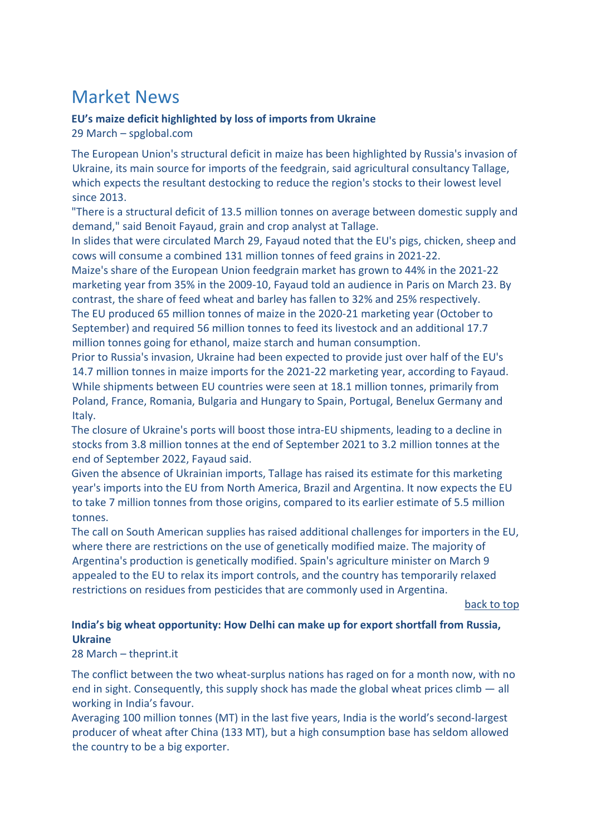# Market News

## <span id="page-1-0"></span>**EU's maize deficit highlighted by loss of imports from Ukraine**

29 March – spglobal.com

The European Union's structural deficit in maize has been highlighted by Russia's invasion of Ukraine, its main source for imports of the feedgrain, said agricultural consultancy Tallage, which expects the resultant destocking to reduce the region's stocks to their lowest level since 2013.

"There is a structural deficit of 13.5 million tonnes on average between domestic supply and demand," said Benoit Fayaud, grain and crop analyst at Tallage.

In slides that were circulated March 29, Fayaud noted that the EU's pigs, chicken, sheep and cows will consume a combined 131 million tonnes of feed grains in 2021-22.

Maize's share of the European Union feedgrain market has grown to 44% in the 2021-22 marketing year from 35% in the 2009-10, Fayaud told an audience in Paris on March 23. By contrast, the share of feed wheat and barley has fallen to 32% and 25% respectively. The EU produced 65 million tonnes of maize in the 2020-21 marketing year (October to September) and required 56 million tonnes to feed its livestock and an additional 17.7 million tonnes going for ethanol, maize starch and human consumption.

Prior to Russia's invasion, Ukraine had been expected to provide just over half of the EU's 14.7 million tonnes in maize imports for the 2021-22 marketing year, according to Fayaud. While shipments between EU countries were seen at 18.1 million tonnes, primarily from Poland, France, Romania, Bulgaria and Hungary to Spain, Portugal, Benelux Germany and Italy.

The closure of Ukraine's ports will boost those intra-EU shipments, leading to a decline in stocks from 3.8 million tonnes at the end of September 2021 to 3.2 million tonnes at the end of September 2022, Fayaud said.

Given the absence of Ukrainian imports, Tallage has raised its estimate for this marketing year's imports into the EU from North America, Brazil and Argentina. It now expects the EU to take 7 million tonnes from those origins, compared to its earlier estimate of 5.5 million tonnes.

The call on South American supplies has raised additional challenges for importers in the EU, where there are restrictions on the use of genetically modified maize. The majority of Argentina's production is genetically modified. Spain's agriculture minister on March 9 appealed to the EU to relax its import controls, and the country has temporarily relaxed restrictions on residues from pesticides that are commonly used in Argentina.

[back to top](#page-0-1) 

## <span id="page-1-1"></span>**India's big wheat opportunity: How Delhi can make up for export shortfall from Russia, Ukraine**

## 28 March – theprint.it

The conflict between the two wheat-surplus nations has raged on for a month now, with no end in sight. Consequently, this supply shock has made the global wheat prices climb — all working in India's favour.

Averaging 100 million tonnes (MT) in the last five years, India is the world's second-largest producer of wheat after China (133 MT), but a high consumption base has seldom allowed the country to be a big exporter.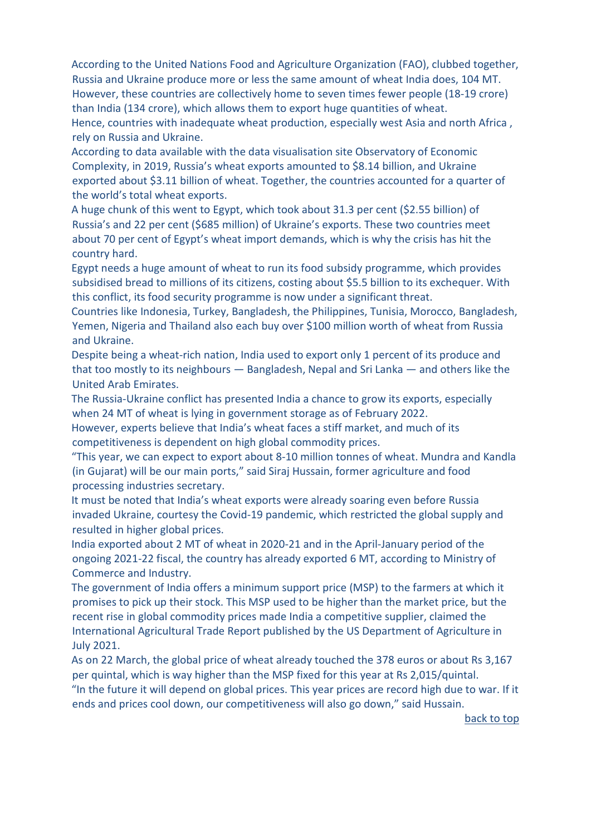According to the United Nations Food and Agriculture Organization (FAO), clubbed together, Russia and Ukraine produce more or less the same amount of wheat India does, 104 MT. However, these countries are collectively home to seven times fewer people (18-19 crore) than India (134 crore), which allows them to export huge quantities of wheat. Hence, countries with inadequate wheat production, especially west Asia and north Africa , rely on Russia and Ukraine.

According to data available with the data visualisation site Observatory of Economic Complexity, in 2019, Russia's wheat exports amounted to \$8.14 billion, and Ukraine exported about \$3.11 billion of wheat. Together, the countries accounted for a quarter of the world's total wheat exports.

A huge chunk of this went to Egypt, which took about 31.3 per cent (\$2.55 billion) of Russia's and 22 per cent (\$685 million) of Ukraine's exports. These two countries meet about 70 per cent of Egypt's wheat import demands, which is why the crisis has hit the country hard.

Egypt needs a huge amount of wheat to run its food subsidy programme, which provides subsidised bread to millions of its citizens, costing about \$5.5 billion to its exchequer. With this conflict, its food security programme is now under a significant threat.

Countries like Indonesia, Turkey, Bangladesh, the Philippines, Tunisia, Morocco, Bangladesh, Yemen, Nigeria and Thailand also each buy over \$100 million worth of wheat from Russia and Ukraine.

Despite being a wheat-rich nation, India used to export only 1 percent of its produce and that too mostly to its neighbours — Bangladesh, Nepal and Sri Lanka — and others like the United Arab Emirates.

The Russia-Ukraine conflict has presented India a chance to grow its exports, especially when 24 MT of wheat is lying in government storage as of February 2022.

However, experts believe that India's wheat faces a stiff market, and much of its competitiveness is dependent on high global commodity prices.

"This year, we can expect to export about 8-10 million tonnes of wheat. Mundra and Kandla (in Gujarat) will be our main ports," said Siraj Hussain, former agriculture and food processing industries secretary.

It must be noted that India's wheat exports were already soaring even before Russia invaded Ukraine, courtesy the Covid-19 pandemic, which restricted the global supply and resulted in higher global prices.

India exported about 2 MT of wheat in 2020-21 and in the April-January period of the ongoing 2021-22 fiscal, the country has already exported 6 MT, according to Ministry of Commerce and Industry.

The government of India offers a minimum support price (MSP) to the farmers at which it promises to pick up their stock. This MSP used to be higher than the market price, but the recent rise in global commodity prices made India a competitive supplier, claimed the International Agricultural Trade Report published by the US Department of Agriculture in July 2021.

<span id="page-2-0"></span>As on 22 March, the global price of wheat already touched the 378 euros or about Rs 3,167 per quintal, which is way higher than the MSP fixed for this year at Rs 2,015/quintal. "In the future it will depend on global prices. This year prices are record high due to war. If it ends and prices cool down, our competitiveness will also go down," said Hussain.

[back to top](#page-0-1)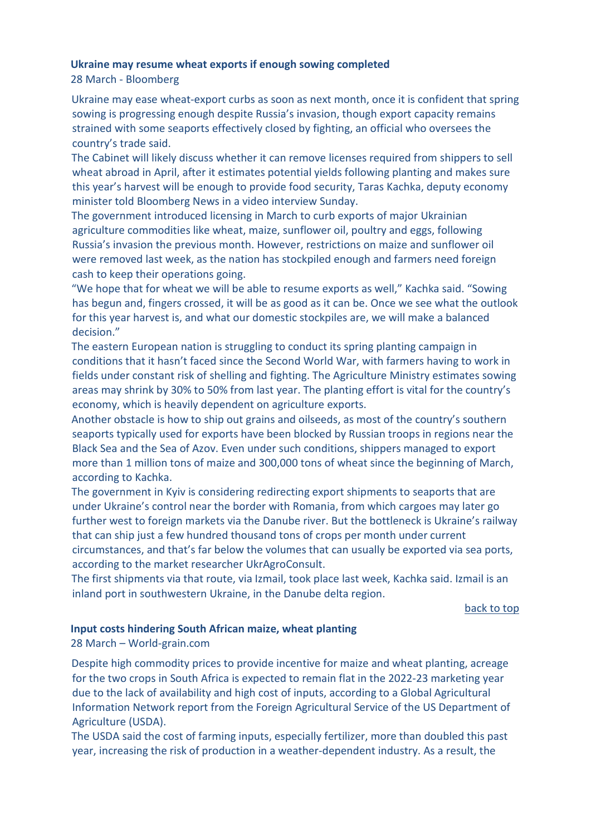### **Ukraine may resume wheat exports if enough sowing completed**

28 March - Bloomberg

Ukraine may ease wheat-export curbs as soon as next month, once it is confident that spring sowing is progressing enough despite Russia's invasion, though export capacity remains strained with some seaports effectively closed by fighting, an official who oversees the country's trade said.

The Cabinet will likely discuss whether it can remove licenses required from shippers to sell wheat abroad in April, after it estimates potential yields following planting and makes sure this year's harvest will be enough to provide food security, Taras Kachka, deputy economy minister told Bloomberg News in a video interview Sunday.

The government introduced licensing in March to curb exports of major Ukrainian agriculture commodities like wheat, maize, sunflower oil, poultry and eggs, following Russia's invasion the previous month. However, restrictions on maize and sunflower oil were removed last week, as the nation has stockpiled enough and farmers need foreign cash to keep their operations going.

"We hope that for wheat we will be able to resume exports as well," Kachka said. "Sowing has begun and, fingers crossed, it will be as good as it can be. Once we see what the outlook for this year harvest is, and what our domestic stockpiles are, we will make a balanced decision."

The eastern European nation is struggling to conduct its spring planting campaign in conditions that it hasn't faced since the Second World War, with farmers having to work in fields under constant risk of shelling and fighting. The Agriculture Ministry estimates sowing areas may shrink by 30% to 50% from last year. The planting effort is vital for the country's economy, which is heavily dependent on agriculture exports.

Another obstacle is how to ship out grains and oilseeds, as most of the country's southern seaports typically used for exports have been blocked by Russian troops in regions near the Black Sea and the Sea of Azov. Even under such conditions, shippers managed to export more than 1 million tons of maize and 300,000 tons of wheat since the beginning of March, according to Kachka.

The government in Kyiv is considering redirecting export shipments to seaports that are under Ukraine's control near the border with Romania, from which cargoes may later go further west to foreign markets via the Danube river. But the bottleneck is Ukraine's railway that can ship just a few hundred thousand tons of crops per month under current

circumstances, and that's far below the volumes that can usually be exported via sea ports, according to the market researcher UkrAgroConsult.

The first shipments via that route, via Izmail, took place last week, Kachka said. Izmail is an inland port in southwestern Ukraine, in the Danube delta region.

[back to top](#page-0-1) 

#### <span id="page-3-0"></span>**Input costs hindering South African maize, wheat planting**

28 March – World-grain.com

Despite high commodity prices to provide incentive for maize and wheat planting, acreage for the two crops in South Africa is expected to remain flat in the 2022-23 marketing year due to the lack of availability and high cost of inputs, according to a Global Agricultural Information Network report from the Foreign Agricultural Service of the US Department of Agriculture (USDA).

The USDA said the cost of farming inputs, especially fertilizer, more than doubled this past year, increasing the risk of production in a weather-dependent industry. As a result, the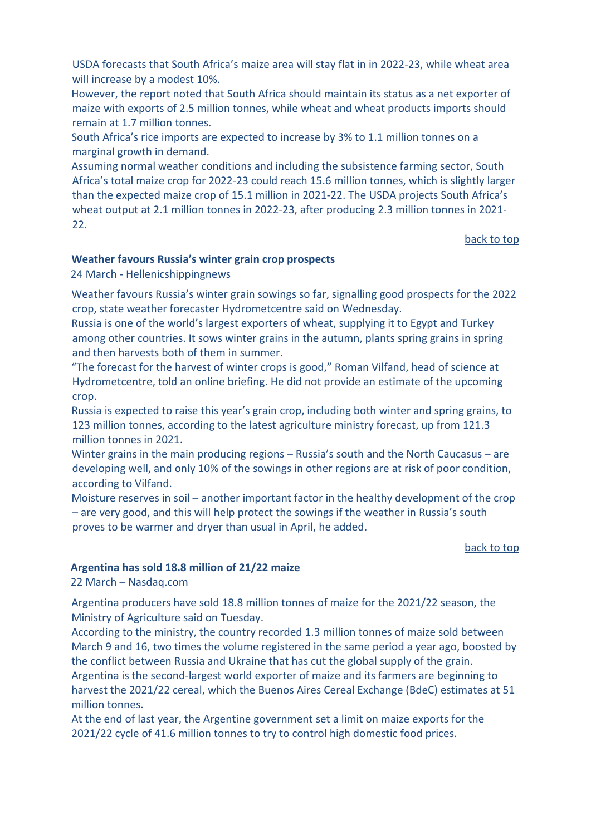USDA forecasts that South Africa's maize area will stay flat in in 2022-23, while wheat area will increase by a modest 10%.

However, the report noted that South Africa should maintain its status as a net exporter of maize with exports of 2.5 million tonnes, while wheat and wheat products imports should remain at 1.7 million tonnes.

South Africa's rice imports are expected to increase by 3% to 1.1 million tonnes on a marginal growth in demand.

Assuming normal weather conditions and including the subsistence farming sector, South Africa's total maize crop for 2022-23 could reach 15.6 million tonnes, which is slightly larger than the expected maize crop of 15.1 million in 2021-22. The USDA projects South Africa's wheat output at 2.1 million tonnes in 2022-23, after producing 2.3 million tonnes in 2021- 22.

#### [back to top](#page-0-1)

#### <span id="page-4-0"></span>**Weather favours Russia's winter grain crop prospects**

24 March - Hellenicshippingnews

Weather favours Russia's winter grain sowings so far, signalling good prospects for the 2022 crop, state weather forecaster Hydrometcentre said on Wednesday.

Russia is one of the world's largest exporters of wheat, supplying it to Egypt and Turkey among other countries. It sows winter grains in the autumn, plants spring grains in spring and then harvests both of them in summer.

"The forecast for the harvest of winter crops is good," Roman Vilfand, head of science at Hydrometcentre, told an online briefing. He did not provide an estimate of the upcoming crop.

Russia is expected to raise this year's grain crop, including both winter and spring grains, to 123 million tonnes, according to the latest agriculture ministry forecast, up from 121.3 million tonnes in 2021.

Winter grains in the main producing regions – Russia's south and the North Caucasus – are developing well, and only 10% of the sowings in other regions are at risk of poor condition, according to Vilfand.

Moisture reserves in soil – another important factor in the healthy development of the crop – are very good, and this will help protect the sowings if the weather in Russia's south proves to be warmer and dryer than usual in April, he added.

#### [back to top](#page-0-1)

#### <span id="page-4-1"></span>**Argentina has sold 18.8 million of 21/22 maize**

22 March – Nasdaq.com

Argentina producers have sold 18.8 million tonnes of maize for the 2021/22 season, the Ministry of Agriculture said on Tuesday.

According to the ministry, the country recorded 1.3 million tonnes of maize sold between March 9 and 16, two times the volume registered in the same period a year ago, boosted by the conflict between Russia and Ukraine that has cut the global supply of the grain. Argentina is the second-largest world exporter of maize and its farmers are beginning to harvest the 2021/22 cereal, which the Buenos Aires Cereal Exchange (BdeC) estimates at 51 million tonnes.

At the end of last year, the Argentine government set a limit on maize exports for the 2021/22 cycle of 41.6 million tonnes to try to control high domestic food prices.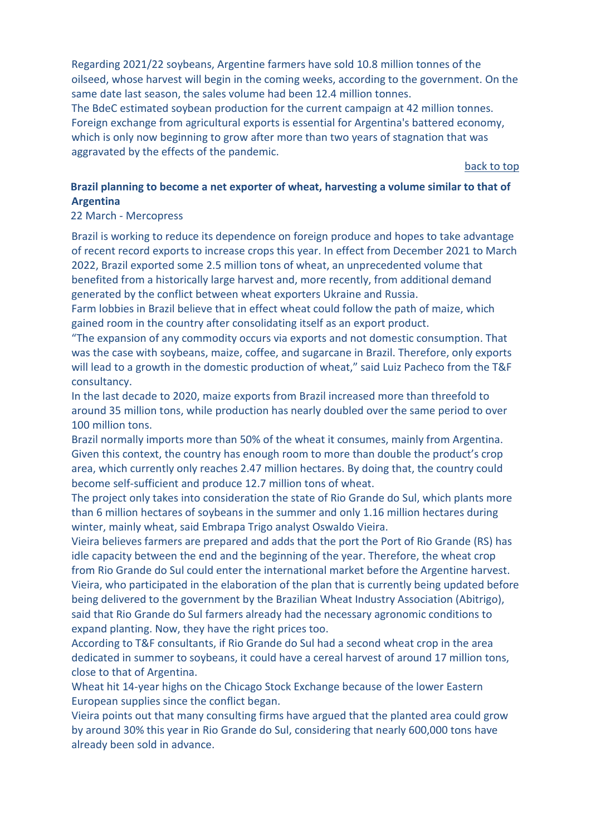Regarding 2021/22 soybeans, Argentine farmers have sold 10.8 million tonnes of the oilseed, whose harvest will begin in the coming weeks, according to the government. On the same date last season, the sales volume had been 12.4 million tonnes. The BdeC estimated soybean production for the current campaign at 42 million tonnes.

Foreign exchange from agricultural exports is essential for Argentina's battered economy, which is only now beginning to grow after more than two years of stagnation that was aggravated by the effects of the pandemic.

[back to top](#page-0-1) 

## <span id="page-5-0"></span>**Brazil planning to become a net exporter of wheat, harvesting a volume similar to that of Argentina**

22 March - Mercopress

Brazil is working to reduce its dependence on foreign produce and hopes to take advantage of recent record exports to increase crops this year. In effect from December 2021 to March 2022, Brazil exported some 2.5 million tons of wheat, an unprecedented volume that benefited from a historically large harvest and, more recently, from additional demand generated by the conflict between wheat exporters Ukraine and Russia.

Farm lobbies in Brazil believe that in effect wheat could follow the path of maize, which gained room in the country after consolidating itself as an export product.

"The expansion of any commodity occurs via exports and not domestic consumption. That was the case with soybeans, maize, coffee, and sugarcane in Brazil. Therefore, only exports will lead to a growth in the domestic production of wheat," said Luiz Pacheco from the T&F consultancy.

In the last decade to 2020, maize exports from Brazil increased more than threefold to around 35 million tons, while production has nearly doubled over the same period to over 100 million tons.

Brazil normally imports more than 50% of the wheat it consumes, mainly from Argentina. Given this context, the country has enough room to more than double the product's crop area, which currently only reaches 2.47 million hectares. By doing that, the country could become self-sufficient and produce 12.7 million tons of wheat.

The project only takes into consideration the state of Rio Grande do Sul, which plants more than 6 million hectares of soybeans in the summer and only 1.16 million hectares during winter, mainly wheat, said Embrapa Trigo analyst Oswaldo Vieira.

Vieira believes farmers are prepared and adds that the port the Port of Rio Grande (RS) has idle capacity between the end and the beginning of the year. Therefore, the wheat crop from Rio Grande do Sul could enter the international market before the Argentine harvest. Vieira, who participated in the elaboration of the plan that is currently being updated before being delivered to the government by the Brazilian Wheat Industry Association (Abitrigo), said that Rio Grande do Sul farmers already had the necessary agronomic conditions to expand planting. Now, they have the right prices too.

According to T&F consultants, if Rio Grande do Sul had a second wheat crop in the area dedicated in summer to soybeans, it could have a cereal harvest of around 17 million tons, close to that of Argentina.

Wheat hit 14-year highs on the Chicago Stock Exchange because of the lower Eastern European supplies since the conflict began.

Vieira points out that many consulting firms have argued that the planted area could grow by around 30% this year in Rio Grande do Sul, considering that nearly 600,000 tons have already been sold in advance.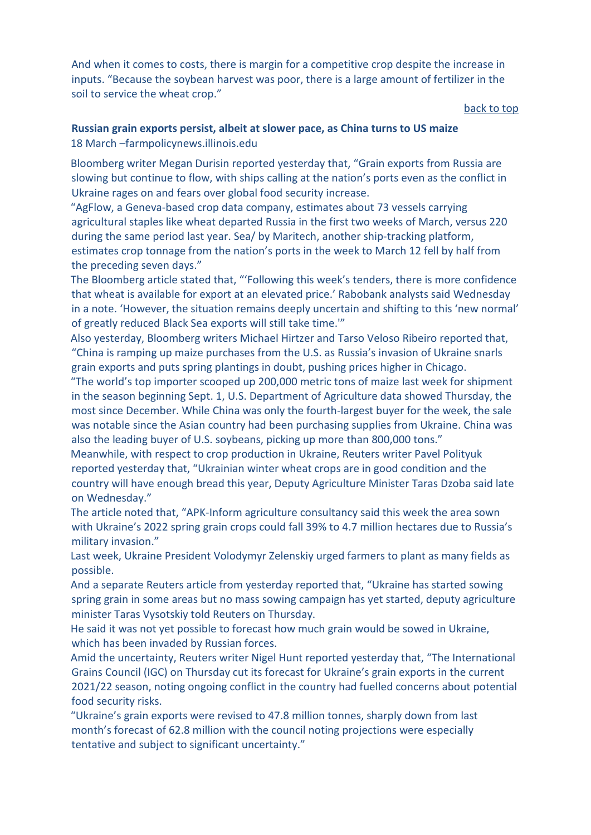And when it comes to costs, there is margin for a competitive crop despite the increase in inputs. "Because the soybean harvest was poor, there is a large amount of fertilizer in the soil to service the wheat crop."

[back to top](#page-0-1) 

## <span id="page-6-0"></span>**Russian grain exports persist, albeit at slower pace, as China turns to US maize**  18 March –farmpolicynews.illinois.edu

Bloomberg writer Megan Durisin reported yesterday that, "Grain exports from Russia are slowing but continue to flow, with ships calling at the nation's ports even as the conflict in Ukraine rages on and fears over global food security increase.

"AgFlow, a Geneva-based crop data company, estimates about 73 vessels carrying agricultural staples like wheat departed Russia in the first two weeks of March, versus 220 during the same period last year. Sea/ by Maritech, another ship-tracking platform, estimates crop tonnage from the nation's ports in the week to March 12 fell by half from the preceding seven days."

The Bloomberg article stated that, "'Following this week's tenders, there is more confidence that wheat is available for export at an elevated price.' Rabobank analysts said Wednesday in a note. 'However, the situation remains deeply uncertain and shifting to this 'new normal' of greatly reduced Black Sea exports will still take time.'"

Also yesterday, Bloomberg writers Michael Hirtzer and Tarso Veloso Ribeiro reported that, "China is ramping up maize purchases from the U.S. as Russia's invasion of Ukraine snarls grain exports and puts spring plantings in doubt, pushing prices higher in Chicago.

"The world's top importer scooped up 200,000 metric tons of maize last week for shipment in the season beginning Sept. 1, U.S. Department of Agriculture data showed Thursday, the most since December. While China was only the fourth-largest buyer for the week, the sale was notable since the Asian country had been purchasing supplies from Ukraine. China was also the leading buyer of U.S. soybeans, picking up more than 800,000 tons."

Meanwhile, with respect to crop production in Ukraine, Reuters writer Pavel Polityuk reported yesterday that, "Ukrainian winter wheat crops are in good condition and the country will have enough bread this year, Deputy Agriculture Minister Taras Dzoba said late on Wednesday."

The article noted that, "APK-Inform agriculture consultancy said this week the area sown with Ukraine's 2022 spring grain crops could fall 39% to 4.7 million hectares due to Russia's military invasion."

Last week, Ukraine President Volodymyr Zelenskiy urged farmers to plant as many fields as possible.

And a separate Reuters article from yesterday reported that, "Ukraine has started sowing spring grain in some areas but no mass sowing campaign has yet started, deputy agriculture minister Taras Vysotskiy told Reuters on Thursday.

He said it was not yet possible to forecast how much grain would be sowed in Ukraine, which has been invaded by Russian forces.

Amid the uncertainty, Reuters writer Nigel Hunt reported yesterday that, "The International Grains Council (IGC) on Thursday cut its forecast for Ukraine's grain exports in the current 2021/22 season, noting ongoing conflict in the country had fuelled concerns about potential food security risks.

"Ukraine's grain exports were revised to 47.8 million tonnes, sharply down from last month's forecast of 62.8 million with the council noting projections were especially tentative and subject to significant uncertainty."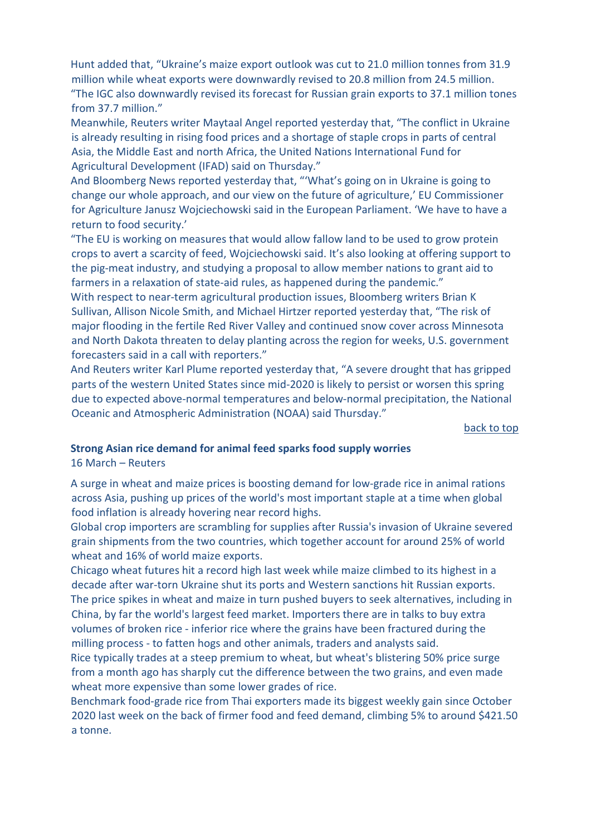Hunt added that, "Ukraine's maize export outlook was cut to 21.0 million tonnes from 31.9 million while wheat exports were downwardly revised to 20.8 million from 24.5 million. "The IGC also downwardly revised its forecast for Russian grain exports to 37.1 million tones from 37.7 million."

Meanwhile, Reuters writer Maytaal Angel reported yesterday that, "The conflict in Ukraine is already resulting in rising food prices and a shortage of staple crops in parts of central Asia, the Middle East and north Africa, the United Nations International Fund for Agricultural Development (IFAD) said on Thursday."

And Bloomberg News reported yesterday that, "'What's going on in Ukraine is going to change our whole approach, and our view on the future of agriculture,' EU Commissioner for Agriculture Janusz Wojciechowski said in the European Parliament. 'We have to have a return to food security.'

"The EU is working on measures that would allow fallow land to be used to grow protein crops to avert a scarcity of feed, Wojciechowski said. It's also looking at offering support to the pig-meat industry, and studying a proposal to allow member nations to grant aid to farmers in a relaxation of state-aid rules, as happened during the pandemic."

With respect to near-term agricultural production issues, Bloomberg writers Brian K Sullivan, Allison Nicole Smith, and Michael Hirtzer reported yesterday that, "The risk of major flooding in the fertile Red River Valley and continued snow cover across Minnesota and North Dakota threaten to delay planting across the region for weeks, U.S. government forecasters said in a call with reporters."

And Reuters writer Karl Plume reported yesterday that, "A severe drought that has gripped parts of the western United States since mid-2020 is likely to persist or worsen this spring due to expected above-normal temperatures and below-normal precipitation, the National Oceanic and Atmospheric Administration (NOAA) said Thursday."

[back to top](#page-0-1) 

#### <span id="page-7-0"></span>**Strong Asian rice demand for animal feed sparks food supply worries**

16 March – Reuters

A surge in wheat and maize prices is boosting demand for low-grade rice in animal rations across Asia, pushing up prices of the world's most important staple at a time when global food inflation is already hovering near record highs.

Global crop importers are scrambling for supplies after Russia's invasion of Ukraine severed grain shipments from the two countries, which together account for around 25% of world wheat and 16% of world maize exports.

Chicago wheat futures hit a record high last week while maize climbed to its highest in a decade after war-torn Ukraine shut its ports and Western sanctions hit Russian exports. The price spikes in wheat and maize in turn pushed buyers to seek alternatives, including in China, by far the world's largest feed market. Importers there are in talks to buy extra volumes of broken rice - inferior rice where the grains have been fractured during the milling process - to fatten hogs and other animals, traders and analysts said.

Rice typically trades at a steep premium to wheat, but wheat's blistering 50% price surge from a month ago has sharply cut the difference between the two grains, and even made wheat more expensive than some lower grades of rice.

Benchmark food-grade rice from Thai exporters made its biggest weekly gain since October 2020 last week on the back of firmer food and feed demand, climbing 5% to around \$421.50 a tonne.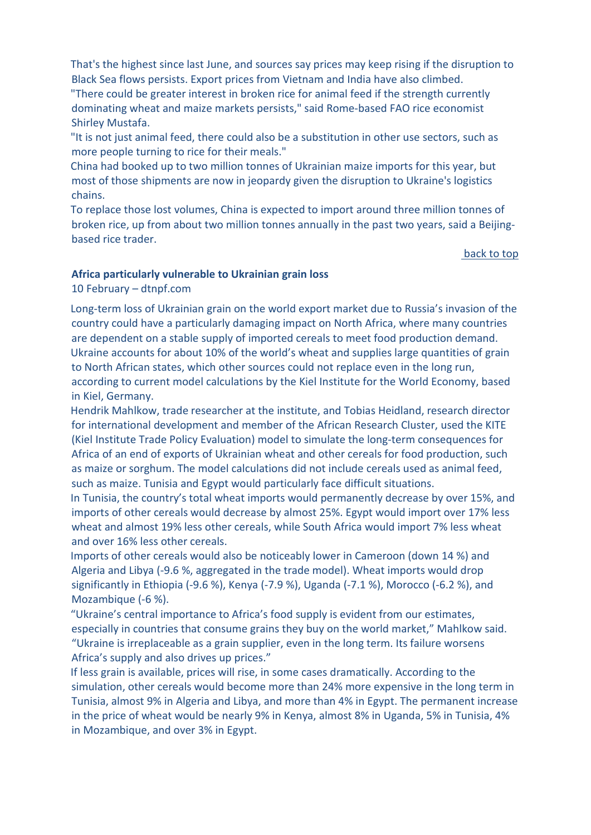That's the highest since last June, and sources say prices may keep rising if the disruption to Black Sea flows persists. Export prices from Vietnam and India have also climbed.

"There could be greater interest in broken rice for animal feed if the strength currently dominating wheat and maize markets persists," said Rome-based FAO rice economist Shirley Mustafa.

"It is not just animal feed, there could also be a substitution in other use sectors, such as more people turning to rice for their meals."

China had booked up to two million tonnes of Ukrainian maize imports for this year, but most of those shipments are now in jeopardy given the disruption to Ukraine's logistics chains.

To replace those lost volumes, China is expected to import around three million tonnes of broken rice, up from about two million tonnes annually in the past two years, said a Beijingbased rice trader.

#### [back to top](#page-0-1)

## <span id="page-8-0"></span>**Africa particularly vulnerable to Ukrainian grain loss**

10 February – dtnpf.com

Long-term loss of Ukrainian grain on the world export market due to Russia's invasion of the country could have a particularly damaging impact on North Africa, where many countries are dependent on a stable supply of imported cereals to meet food production demand. Ukraine accounts for about 10% of the world's wheat and supplies large quantities of grain to North African states, which other sources could not replace even in the long run, according to current model calculations by the Kiel Institute for the World Economy, based in Kiel, Germany.

Hendrik Mahlkow, trade researcher at the institute, and Tobias Heidland, research director for international development and member of the African Research Cluster, used the KITE (Kiel Institute Trade Policy Evaluation) model to simulate the long-term consequences for Africa of an end of exports of Ukrainian wheat and other cereals for food production, such as maize or sorghum. The model calculations did not include cereals used as animal feed, such as maize. Tunisia and Egypt would particularly face difficult situations.

In Tunisia, the country's total wheat imports would permanently decrease by over 15%, and imports of other cereals would decrease by almost 25%. Egypt would import over 17% less wheat and almost 19% less other cereals, while South Africa would import 7% less wheat and over 16% less other cereals.

Imports of other cereals would also be noticeably lower in Cameroon (down 14 %) and Algeria and Libya (-9.6 %, aggregated in the trade model). Wheat imports would drop significantly in Ethiopia (-9.6 %), Kenya (-7.9 %), Uganda (-7.1 %), Morocco (-6.2 %), and Mozambique (-6 %).

"Ukraine's central importance to Africa's food supply is evident from our estimates, especially in countries that consume grains they buy on the world market," Mahlkow said. "Ukraine is irreplaceable as a grain supplier, even in the long term. Its failure worsens Africa's supply and also drives up prices."

If less grain is available, prices will rise, in some cases dramatically. According to the simulation, other cereals would become more than 24% more expensive in the long term in Tunisia, almost 9% in Algeria and Libya, and more than 4% in Egypt. The permanent increase in the price of wheat would be nearly 9% in Kenya, almost 8% in Uganda, 5% in Tunisia, 4% in Mozambique, and over 3% in Egypt.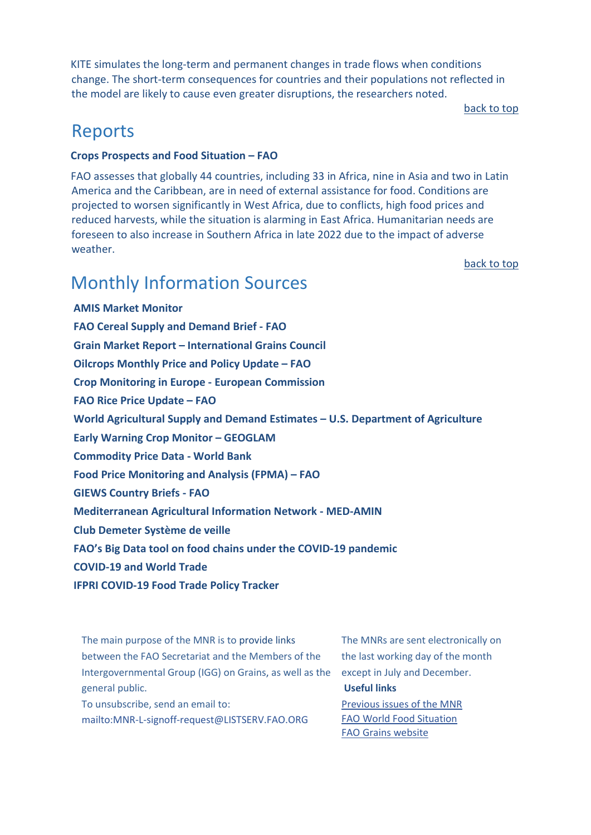KITE simulates the long-term and permanent changes in trade flows when conditions change. The short-term consequences for countries and their populations not reflected in the model are likely to cause even greater disruptions, the researchers noted.

[back to top](#page-0-1)

# <span id="page-9-0"></span>Reports

### <span id="page-9-1"></span>**[Crops Prospects and Food Situation –](https://www.fao.org/documents/card/en/c/cb8893en) FAO**

FAO assesses that globally 44 countries, including 33 in Africa, nine in Asia and two in Latin America and the Caribbean, are in need of external assistance for food. Conditions are projected to worsen significantly in West Africa, due to conflicts, high food prices and reduced harvests, while the situation is alarming in East Africa. Humanitarian needs are foreseen to also increase in Southern Africa in late 2022 due to the impact of adverse weather.

[back to top](#page-0-1) 

# <span id="page-9-2"></span>Monthly Information Sources

**[AMIS Market Monitor](http://www.amis-outlook.org/amis-monitoring/monthly-report/en/)  [FAO Cereal Supply and Demand Brief -](http://www.fao.org/worldfoodsituation/csdb/en/) FAO Grain Market Report – [International Grains Council](https://www.igc.int/en/gmr_summary.aspx) [Oilcrops Monthly Price and Policy Update –](https://www.fao.org/3/cb9089en/cb9089en.pdf) FAO [Crop Monitoring in Europe -](https://op.europa.eu/en/publication-detail/-/publication/5de4ec6b-abef-11ec-83e1-01aa75ed71a1/language-en) European Commission [FAO Rice Price Update –](http://www.fao.org/economic/est/publications/rice-publications/the-fao-rice-price-update/en/) FAO [World Agricultural Supply and Demand Estimates –](https://www.usda.gov/oce/commodity/wasde/wasde0322.pdf) U.S. Department of Agriculture [Early Warning Crop Monitor –](https://cropmonitor.org/index.php/cmreports/earlywarning-report/) GEOGLAM [Commodity Price Data -](https://thedocs.worldbank.org/en/doc/5d903e848db1d1b83e0ec8f744e55570-0350012021/related/CMO-Pink-Sheet-March-2022.pdf) World Bank [Food Price Monitoring and Analysis \(FPMA\) –](https://www.fao.org/3/cb8976en/cb8976en.pdf) FAO [GIEWS Country Briefs -](https://www.fao.org/giews/en/) FA[O](https://www.fao.org/giews/en/) [Mediterranean Agricultural Information Network -](https://www.scoop.it/topic/med-amin) MED-AMIN [Club Demeter Système de veille](https://www.scoop.it/u/club-demeter) [FAO's Big Data tool on food chains under the COVID-19 pandemic](http://www.fao.org/datalab/website/web/covid19) [COVID-19 and World Trade](https://www.wto.org/english/tratop_e/covid19_e/covid19_e.htm) [IFPRI COVID-19 Food Trade Policy Tracker](https://www.ifpri.org/project/covid-19-food-trade-policy-tracker)**

The main purpose of the MNR is to provide links between the FAO Secretariat and the Members of the Intergovernmental Group (IGG) on Grains, as well as the general public.

To unsubscribe, send an email to: mailto:MNR-L-signoff-request@LISTSERV.FAO.ORG

The MNRs are sent electronically on the last working day of the month except in July and December. **Useful links**  [Previous issues of the MNR](http://www.fao.org/economic/est/publications/grains-publications/monthly-news-report-on-grains-mnr/en/?)

[FAO World Food Situation](http://www.fao.org/worldfoodsituation/en/) [FAO Grains website](http://www.fao.org/economic/est/est-commodities/grains/en/?#.VPCRtHzF_Ak)